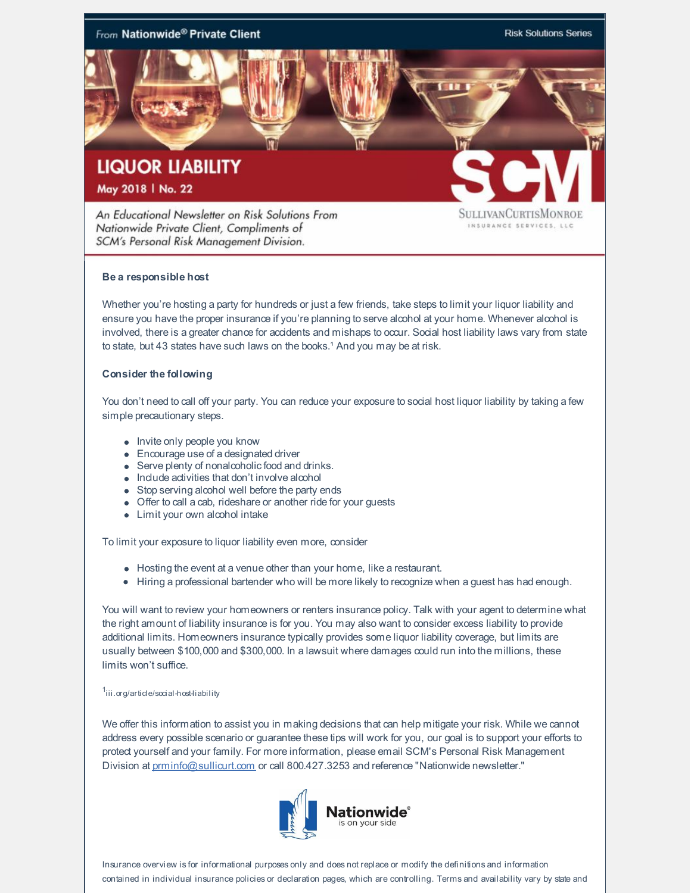

An Educational Newsletter on Risk Solutions From Nationwide Private Client, Compliments of SCM's Personal Risk Management Division.

SULLIVANCURTISMONROE INSURANCE SERVICES, LLC

## **Be a responsible host**

Whether you're hosting a party for hundreds or just a few friends, take steps to limit your liquor liability and ensure you have the proper insurance if you're planning to serve alcohol at your home. Whenever alcohol is involved, there is a greater chance for accidents and mishaps to occur. Social host liability laws vary from state to state, but 43 states have such laws on the books.<sup>1</sup> And you may be at risk.

## **Consider the following**

You don't need to call off your party. You can reduce your exposure to social host liquor liability by taking a few simple precautionary steps.

- Invite only people you know
- Encourage use of a designated driver
- Serve plenty of nonalcoholic food and drinks.
- Include activities that don't involve alcohol
- Stop serving alcohol well before the party ends
- Offer to call a cab, rideshare or another ride for your guests
- Limit your own alcohol intake

To limit your exposure to liquor liability even more, consider

- Hosting the event at a venue other than your home, like a restaurant.
- Hiring a professional bartender who will be more likely to recognize when a guest has had enough.

You will want to review your homeowners or renters insurance policy. Talk with your agent to determine what the right amount of liability insurance is for you. You may also want to consider excess liability to provide additional limits. Homeowners insurance typically provides some liquor liability coverage, but limits are usually between \$100,000 and \$300,000. In a lawsuit where damages could run into the millions, these limits won't suffice.

## <sup>1</sup>iii.org/article/social-host-liability

We offer this information to assist you in making decisions that can help mitigate your risk. While we cannot address every possible scenario or guarantee these tips will work for you, our goal is to support your efforts to protect yourself and your family. For more information, please email SCM's Personal Risk Management Division at [prminfo@sullicurt.com](mailto:prminfo@sullicurt.com) or call 800.427.3253 and reference "Nationwide newsletter."



Insurance overview is for informational purposes only and does not replace or modify the definitions and information contained in individual insurance policies or declaration pages, which are controlling. Terms and availability vary by state and